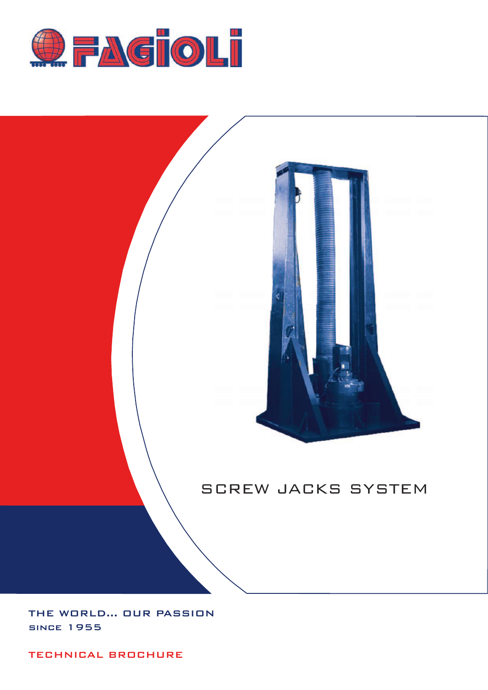



# SCREW JACKS SYSTEM

THE WORLD... OUR PASSION since 1955

TECHNICAL BROCHURE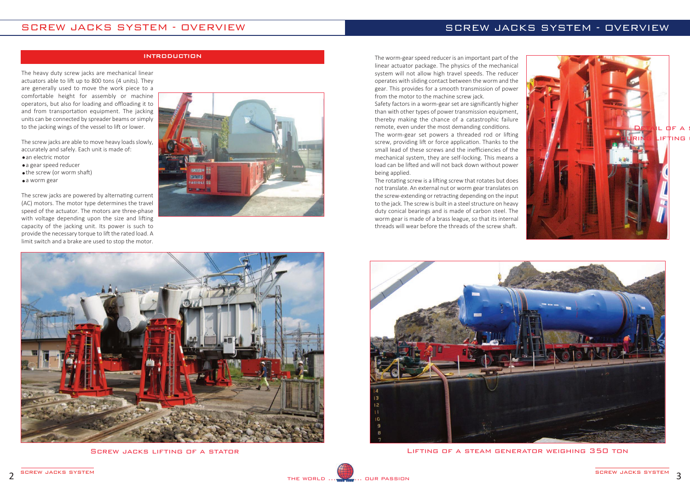The heavy duty screw jacks are mechanical linear actuators able to lift up to 800 tons (4 units). They are generally used to move the work piece to a comfortable height for assembly or machine operators, but also for loading and offloading it to and from transportation equipment. The jacking units can be connected by spreader beams or simply to the jacking wings of the vessel to lift or lower.

The screw jacks are able to move heavy loads slowly, accurately and safely. Each unit is made of: an electric motor

- a gear speed reducer
- the screw (or worm shaft)
- a worm gear

The screw jacks are powered by alternating current (AC) motors. The motor type determines the travel speed of the actuator. The motors are three-phase with voltage depending upon the size and lifting capacity of the jacking unit. Its power is such to provide the necessary torque to lift the rated load. A limit switch and a brake are used to stop the motor.





Screw jacks lifting of a stator



The worm-gear set powers a threaded rod or lifting screw, providing lift or force application. Thanks to the small lead of these screws and the inefficiencies of the mechanical system, they are self‐locking. This means a load can be lifted and will not back down without power being applied.

### INTRODUCTION

Lifting of a steam generator weighing 350 ton



The worm‐gear speed reducer is an important part of the linear actuator package. The physics of the mechanical system will not allow high travel speeds. The reducer operates with sliding contact between the worm and the gear. This provides for a smooth transmission of power from the motor to the machine screw jack.

Safety factors in a worm‐gear set are significantly higher than with other types of power transmission equipment, thereby making the chance of a catastrophic failure remote, even under the most demanding conditions.

The rotating screw is a lifting screw that rotates but does not translate. An external nut or worm gear translates on the screw-extending or retracting depending on the input to the jack. The screw is built in a steel structure on heavy duty conical bearings and is made of carbon steel. The worm gear is made of a brass league, so that its internal threads will wear before the threads of the screw shaft.

## SCREW JACKS SYSTEM - OVERVIEW